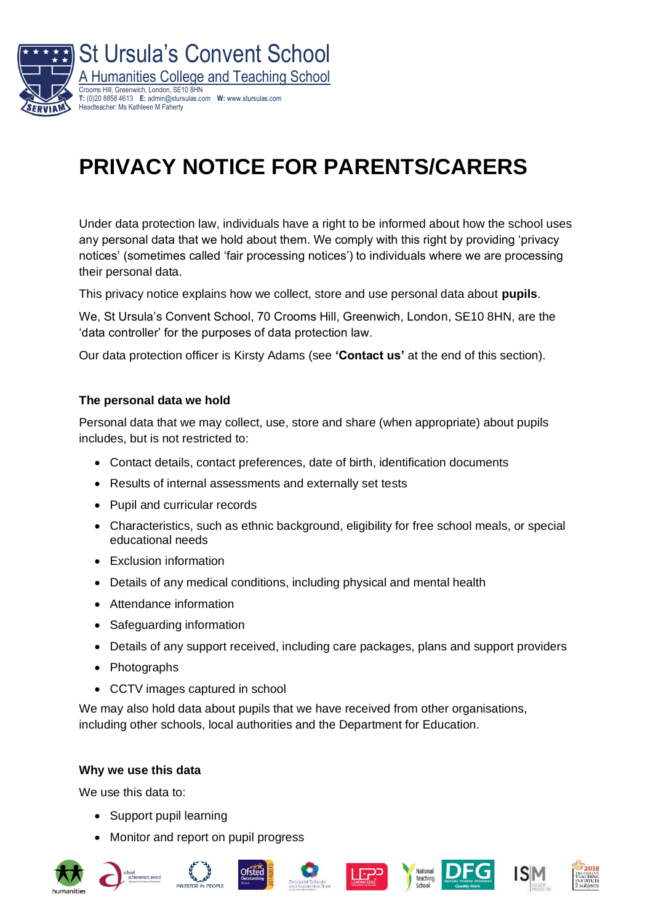

# **PRIVACY NOTICE FOR PARENTS/CARERS**

Under data protection law, individuals have a right to be informed about how the school uses any personal data that we hold about them. We comply with this right by providing 'privacy notices' (sometimes called 'fair processing notices') to individuals where we are processing their personal data.

This privacy notice explains how we collect, store and use personal data about **pupils**.

We, St Ursula's Convent School, 70 Crooms Hill, Greenwich, London, SE10 8HN, are the 'data controller' for the purposes of data protection law.

Our data protection officer is Kirsty Adams (see **'Contact us'** at the end of this section).

#### **The personal data we hold**

Personal data that we may collect, use, store and share (when appropriate) about pupils includes, but is not restricted to:

- Contact details, contact preferences, date of birth, identification documents
- Results of internal assessments and externally set tests
- Pupil and curricular records
- Characteristics, such as ethnic background, eligibility for free school meals, or special educational needs
- Exclusion information
- Details of any medical conditions, including physical and mental health
- Attendance information
- Safeguarding information
- Details of any support received, including care packages, plans and support providers
- Photographs
- CCTV images captured in school

We may also hold data about pupils that we have received from other organisations, including other schools, local authorities and the Department for Education.

#### **Why we use this data**

We use this data to:

- Support pupil learning
- Monitor and report on pupil progress













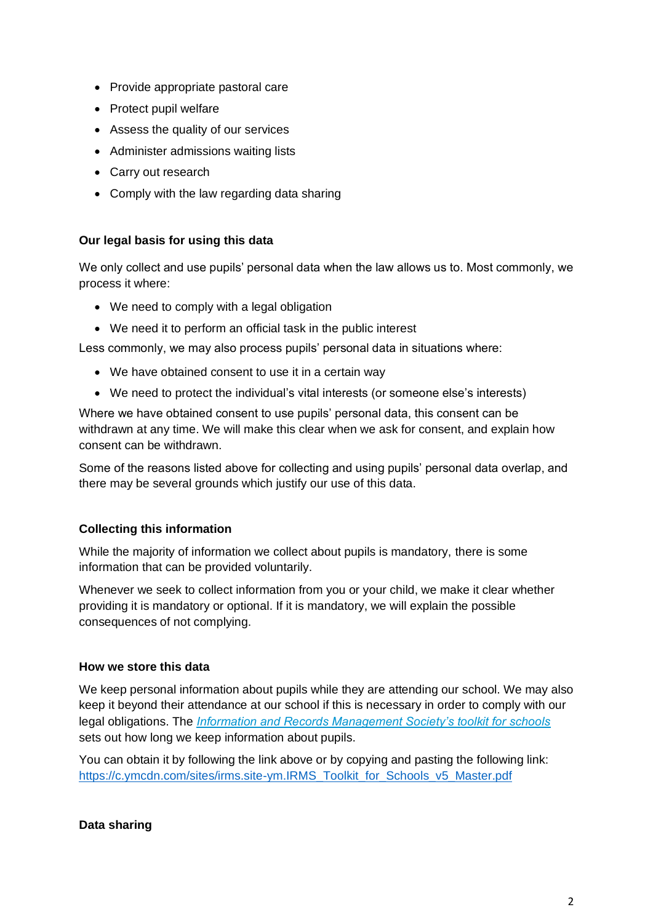- Provide appropriate pastoral care
- Protect pupil welfare
- Assess the quality of our services
- Administer admissions waiting lists
- Carry out research
- Comply with the law regarding data sharing

## **Our legal basis for using this data**

We only collect and use pupils' personal data when the law allows us to. Most commonly, we process it where:

- We need to comply with a legal obligation
- We need it to perform an official task in the public interest

Less commonly, we may also process pupils' personal data in situations where:

- We have obtained consent to use it in a certain way
- We need to protect the individual's vital interests (or someone else's interests)

Where we have obtained consent to use pupils' personal data, this consent can be withdrawn at any time. We will make this clear when we ask for consent, and explain how consent can be withdrawn.

Some of the reasons listed above for collecting and using pupils' personal data overlap, and there may be several grounds which justify our use of this data.

## **Collecting this information**

While the majority of information we collect about pupils is mandatory, there is some information that can be provided voluntarily.

Whenever we seek to collect information from you or your child, we make it clear whether providing it is mandatory or optional. If it is mandatory, we will explain the possible consequences of not complying.

## **How we store this data**

We keep personal information about pupils while they are attending our school. We may also keep it beyond their attendance at our school if this is necessary in order to comply with our legal obligations. The *[Information and Records Management Society's toolkit for schools](http://irms.org.uk/?page=schoolstoolkit&terms=%22toolkit+and+schools%22)* sets out how long we keep information about pupils.

You can obtain it by following the link above or by copying and pasting the following link: [https://c.ymcdn.com/sites/irms.site-ym.IRMS\\_Toolkit\\_for\\_Schools\\_v5\\_Master.pdf](https://c.ymcdn.com/sites/irms.site-ym.com/resource/collection/8BCEF755-0353-4F66-9877-CCDA4BFEEAC4/2016_IRMS_Toolkit_for_Schools_v5_Master.pdf)

## **Data sharing**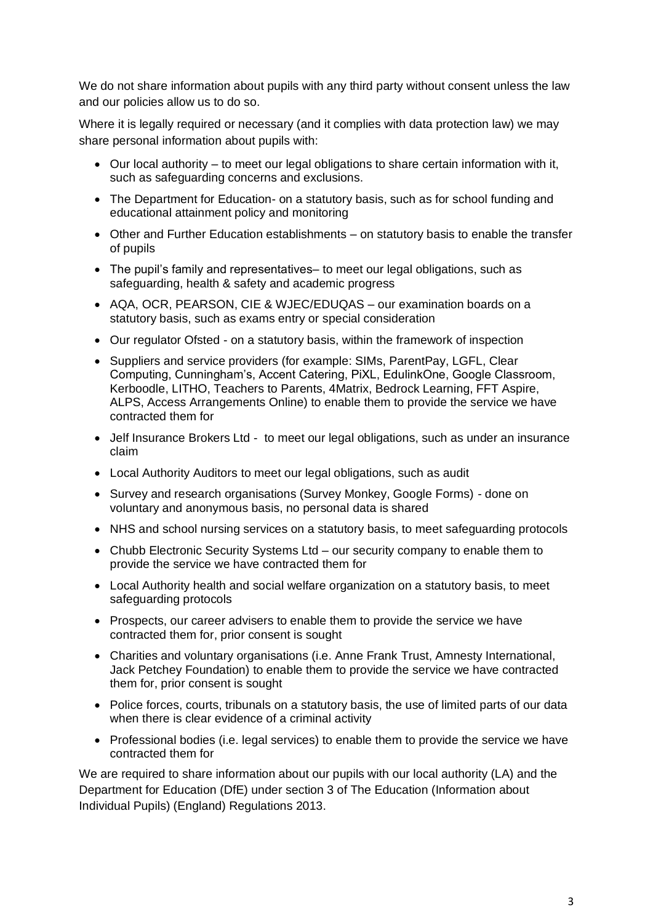We do not share information about pupils with any third party without consent unless the law and our policies allow us to do so.

Where it is legally required or necessary (and it complies with data protection law) we may share personal information about pupils with:

- Our local authority to meet our legal obligations to share certain information with it, such as safeguarding concerns and exclusions.
- The Department for Education- on a statutory basis, such as for school funding and educational attainment policy and monitoring
- Other and Further Education establishments on statutory basis to enable the transfer of pupils
- The pupil's family and representatives– to meet our legal obligations, such as safeguarding, health & safety and academic progress
- AQA, OCR, PEARSON, CIE & WJEC/EDUQAS our examination boards on a statutory basis, such as exams entry or special consideration
- Our regulator Ofsted on a statutory basis, within the framework of inspection
- Suppliers and service providers (for example: SIMs, ParentPay, LGFL, Clear Computing, Cunningham's, Accent Catering, PiXL, EdulinkOne, Google Classroom, Kerboodle, LITHO, Teachers to Parents, 4Matrix, Bedrock Learning, FFT Aspire, ALPS, Access Arrangements Online) to enable them to provide the service we have contracted them for
- Jelf Insurance Brokers Ltd to meet our legal obligations, such as under an insurance claim
- Local Authority Auditors to meet our legal obligations, such as audit
- Survey and research organisations (Survey Monkey, Google Forms) *-* done on voluntary and anonymous basis, no personal data is shared
- NHS and school nursing services on a statutory basis, to meet safeguarding protocols
- Chubb Electronic Security Systems Ltd our security company to enable them to provide the service we have contracted them for
- Local Authority health and social welfare organization on a statutory basis, to meet safeguarding protocols
- Prospects, our career advisers to enable them to provide the service we have contracted them for, prior consent is sought
- Charities and voluntary organisations (i.e. Anne Frank Trust, Amnesty International, Jack Petchey Foundation) to enable them to provide the service we have contracted them for, prior consent is sought
- Police forces, courts, tribunals on a statutory basis, the use of limited parts of our data when there is clear evidence of a criminal activity
- Professional bodies (i.e. legal services) to enable them to provide the service we have contracted them for

We are required to share information about our pupils with our local authority (LA) and the Department for Education (DfE) under section 3 of The Education (Information about Individual Pupils) (England) Regulations 2013.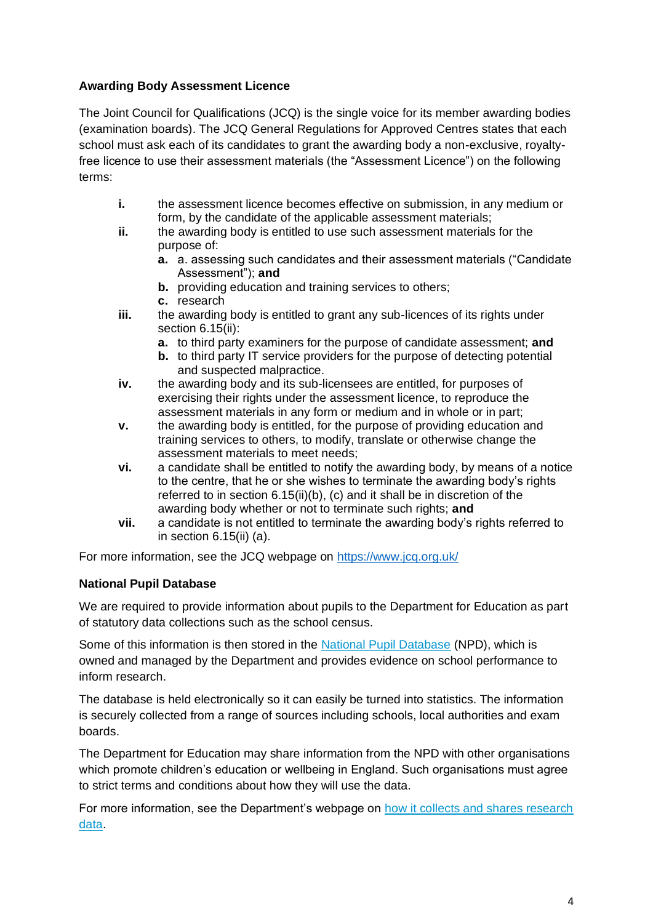## **Awarding Body Assessment Licence**

The Joint Council for Qualifications (JCQ) is the single voice for its member awarding bodies (examination boards). The JCQ General Regulations for Approved Centres states that each school must ask each of its candidates to grant the awarding body a non-exclusive, royaltyfree licence to use their assessment materials (the "Assessment Licence") on the following terms:

- **i.** the assessment licence becomes effective on submission, in any medium or form, by the candidate of the applicable assessment materials;
- **ii.** the awarding body is entitled to use such assessment materials for the purpose of:
	- **a.** a. assessing such candidates and their assessment materials ("Candidate Assessment"); **and**
	- **b.** providing education and training services to others;
	- **c.** research
- **iii.** the awarding body is entitled to grant any sub-licences of its rights under section 6.15(ii):
	- **a.** to third party examiners for the purpose of candidate assessment; **and**
	- **b.** to third party IT service providers for the purpose of detecting potential and suspected malpractice.
- **iv.** the awarding body and its sub-licensees are entitled, for purposes of exercising their rights under the assessment licence, to reproduce the assessment materials in any form or medium and in whole or in part;
- **v.** the awarding body is entitled, for the purpose of providing education and training services to others, to modify, translate or otherwise change the assessment materials to meet needs;
- **vi.** a candidate shall be entitled to notify the awarding body, by means of a notice to the centre, that he or she wishes to terminate the awarding body's rights referred to in section 6.15(ii)(b), (c) and it shall be in discretion of the awarding body whether or not to terminate such rights; **and**
- **vii.** a candidate is not entitled to terminate the awarding body's rights referred to in section 6.15(ii) (a).

For more information, see the JCQ webpage on<https://www.jcq.org.uk/>

## **National Pupil Database**

We are required to provide information about pupils to the Department for Education as part of statutory data collections such as the school census.

Some of this information is then stored in the [National Pupil Database](https://www.gov.uk/government/publications/national-pupil-database-user-guide-and-supporting-information) (NPD), which is owned and managed by the Department and provides evidence on school performance to inform research.

The database is held electronically so it can easily be turned into statistics. The information is securely collected from a range of sources including schools, local authorities and exam boards.

The Department for Education may share information from the NPD with other organisations which promote children's education or wellbeing in England. Such organisations must agree to strict terms and conditions about how they will use the data.

For more information, see the Department's webpage on how it collects and shares research [data.](https://www.gov.uk/data-protection-how-we-collect-and-share-research-data)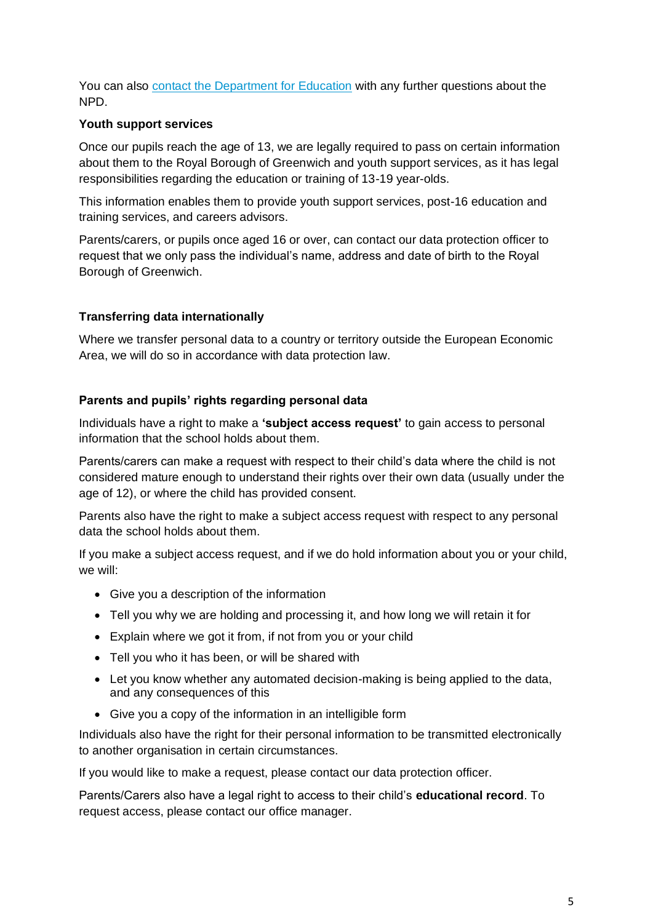You can also [contact the Department for Education](https://www.gov.uk/contact-dfe) with any further questions about the NPD.

## **Youth support services**

Once our pupils reach the age of 13, we are legally required to pass on certain information about them to the Royal Borough of Greenwich and youth support services, as it has legal responsibilities regarding the education or training of 13-19 year-olds.

This information enables them to provide youth support services, post-16 education and training services, and careers advisors.

Parents/carers, or pupils once aged 16 or over, can contact our data protection officer to request that we only pass the individual's name, address and date of birth to the Royal Borough of Greenwich.

## **Transferring data internationally**

Where we transfer personal data to a country or territory outside the European Economic Area, we will do so in accordance with data protection law.

#### **Parents and pupils' rights regarding personal data**

Individuals have a right to make a **'subject access request'** to gain access to personal information that the school holds about them.

Parents/carers can make a request with respect to their child's data where the child is not considered mature enough to understand their rights over their own data (usually under the age of 12), or where the child has provided consent.

Parents also have the right to make a subject access request with respect to any personal data the school holds about them.

If you make a subject access request, and if we do hold information about you or your child, we will:

- Give you a description of the information
- Tell you why we are holding and processing it, and how long we will retain it for
- Explain where we got it from, if not from you or your child
- Tell you who it has been, or will be shared with
- Let you know whether any automated decision-making is being applied to the data, and any consequences of this
- Give you a copy of the information in an intelligible form

Individuals also have the right for their personal information to be transmitted electronically to another organisation in certain circumstances.

If you would like to make a request, please contact our data protection officer.

Parents/Carers also have a legal right to access to their child's **educational record**. To request access, please contact our office manager.